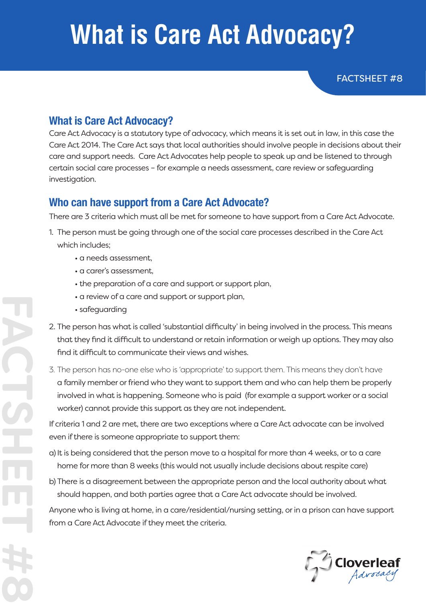## **What is Care Act Advocacy?**

FACTSHEET #8

### **What is Care Act Advocacy?**

Care Act Advocacy is a statutory type of advocacy, which means it is set out in law, in this case the Care Act 2014. The Care Act says that local authorities should involve people in decisions about their care and support needs. Care Act Advocates help people to speak up and be listened to through certain social care processes – for example a needs assessment, care review or safeguarding investigation.

#### **Who can have support from a Care Act Advocate?**

There are 3 criteria which must all be met for someone to have support from a Care Act Advocate.

- 1. The person must be going through one of the social care processes described in the Care Act which includes;
	- a needs assessment,
	- a carer's assessment,
	- the preparation of a care and support or support plan,
	- a review of a care and support or support plan,
	- safeguarding
- 2. The person has what is called 'substantial difficulty' in being involved in the process. This means that they find it difficult to understand or retain information or weigh up options. They may also find it difficult to communicate their views and wishes.
- 3. The person has no-one else who is 'appropriate' to support them. This means they don't have a family member or friend who they want to support them and who can help them be properly involved in what is happening. Someone who is paid (for example a support worker or a social worker) cannot provide this support as they are not independent.

If criteria 1 and 2 are met, there are two exceptions where a Care Act advocate can be involved even if there is someone appropriate to support them:

- a) It is being considered that the person move to a hospital for more than 4 weeks, or to a care home for more than 8 weeks (this would not usually include decisions about respite care)
- b) There is a disagreement between the appropriate person and the local authority about what should happen, and both parties agree that a Care Act advocate should be involved.

Anyone who is living at home, in a care/residential/nursing setting, or in a prison can have support from a Care Act Advocate if they meet the criteria.